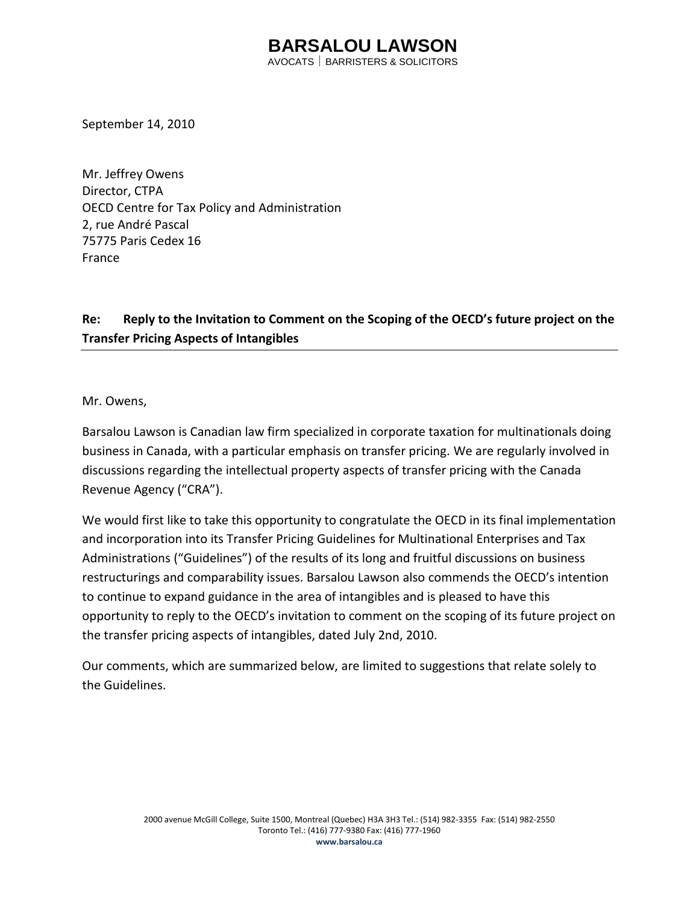AVOCATS BARRISTERS & SOLICITORS

September 14, 2010

Mr. Jeffrey Owens Director, CTPA OECD Centre for Tax Policy and Administration 2, rue André Pascal 75775 Paris Cedex 16 France

### **Re: Reply to the Invitation to Comment on the Scoping of the OECD's future project on the Transfer Pricing Aspects of Intangibles**

Mr. Owens,

Barsalou Lawson is Canadian law firm specialized in corporate taxation for multinationals doing business in Canada, with a particular emphasis on transfer pricing. We are regularly involved in discussions regarding the intellectual property aspects of transfer pricing with the Canada Revenue Agency ("CRA").

We would first like to take this opportunity to congratulate the OECD in its final implementation and incorporation into its Transfer Pricing Guidelines for Multinational Enterprises and Tax Administrations ("Guidelines") of the results of its long and fruitful discussions on business restructurings and comparability issues. Barsalou Lawson also commends the OECD's intention to continue to expand guidance in the area of intangibles and is pleased to have this opportunity to reply to the OECD's invitation to comment on the scoping of its future project on the transfer pricing aspects of intangibles, dated July 2nd, 2010.

Our comments, which are summarized below, are limited to suggestions that relate solely to the Guidelines.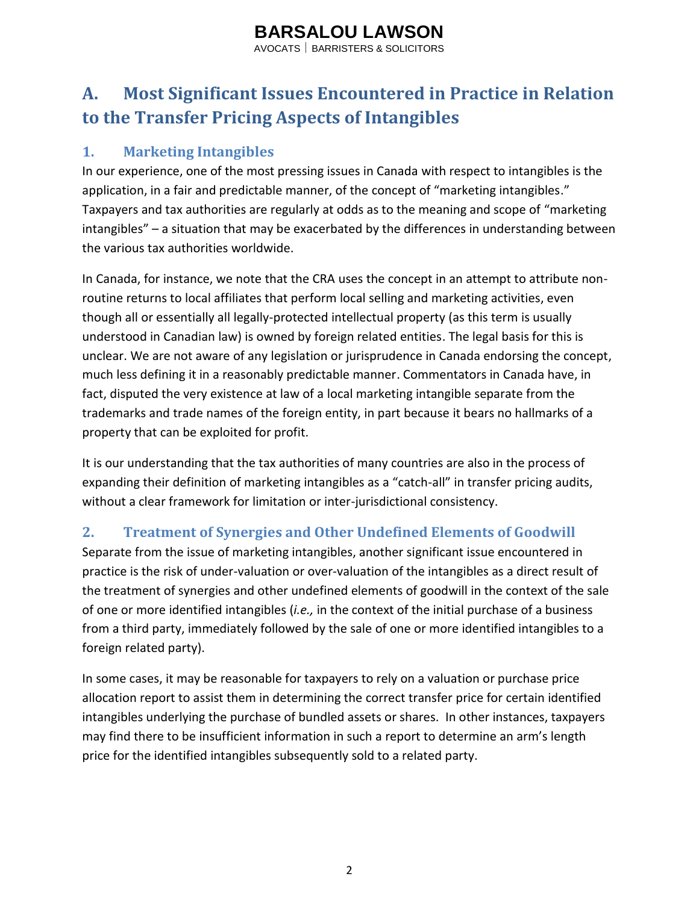AVOCATS BARRISTERS & SOLICITORS

## **A. Most Significant Issues Encountered in Practice in Relation to the Transfer Pricing Aspects of Intangibles**

### **1. Marketing Intangibles**

In our experience, one of the most pressing issues in Canada with respect to intangibles is the application, in a fair and predictable manner, of the concept of "marketing intangibles." Taxpayers and tax authorities are regularly at odds as to the meaning and scope of "marketing intangibles" – a situation that may be exacerbated by the differences in understanding between the various tax authorities worldwide.

In Canada, for instance, we note that the CRA uses the concept in an attempt to attribute nonroutine returns to local affiliates that perform local selling and marketing activities, even though all or essentially all legally-protected intellectual property (as this term is usually understood in Canadian law) is owned by foreign related entities. The legal basis for this is unclear. We are not aware of any legislation or jurisprudence in Canada endorsing the concept, much less defining it in a reasonably predictable manner. Commentators in Canada have, in fact, disputed the very existence at law of a local marketing intangible separate from the trademarks and trade names of the foreign entity, in part because it bears no hallmarks of a property that can be exploited for profit.

It is our understanding that the tax authorities of many countries are also in the process of expanding their definition of marketing intangibles as a "catch-all" in transfer pricing audits, without a clear framework for limitation or inter-jurisdictional consistency.

### **2. Treatment of Synergies and Other Undefined Elements of Goodwill**

Separate from the issue of marketing intangibles, another significant issue encountered in practice is the risk of under-valuation or over-valuation of the intangibles as a direct result of the treatment of synergies and other undefined elements of goodwill in the context of the sale of one or more identified intangibles (*i.e.,* in the context of the initial purchase of a business from a third party, immediately followed by the sale of one or more identified intangibles to a foreign related party).

In some cases, it may be reasonable for taxpayers to rely on a valuation or purchase price allocation report to assist them in determining the correct transfer price for certain identified intangibles underlying the purchase of bundled assets or shares. In other instances, taxpayers may find there to be insufficient information in such a report to determine an arm's length price for the identified intangibles subsequently sold to a related party.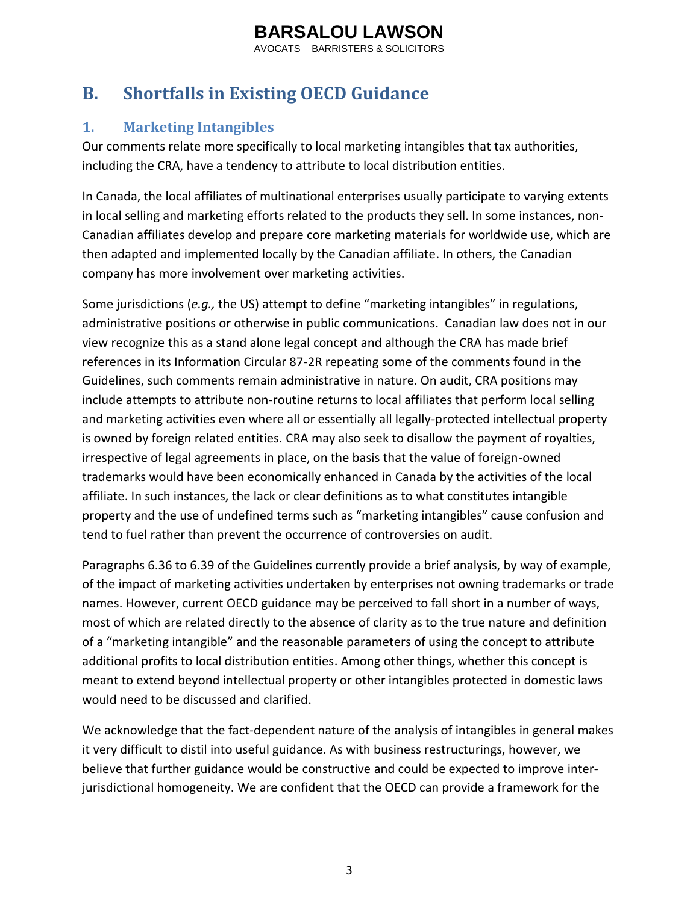AVOCATS BARRISTERS & SOLICITORS

## **B. Shortfalls in Existing OECD Guidance**

### **1. Marketing Intangibles**

Our comments relate more specifically to local marketing intangibles that tax authorities, including the CRA, have a tendency to attribute to local distribution entities.

In Canada, the local affiliates of multinational enterprises usually participate to varying extents in local selling and marketing efforts related to the products they sell. In some instances, non-Canadian affiliates develop and prepare core marketing materials for worldwide use, which are then adapted and implemented locally by the Canadian affiliate. In others, the Canadian company has more involvement over marketing activities.

Some jurisdictions (*e.g.,* the US) attempt to define "marketing intangibles" in regulations, administrative positions or otherwise in public communications. Canadian law does not in our view recognize this as a stand alone legal concept and although the CRA has made brief references in its Information Circular 87-2R repeating some of the comments found in the Guidelines, such comments remain administrative in nature. On audit, CRA positions may include attempts to attribute non-routine returns to local affiliates that perform local selling and marketing activities even where all or essentially all legally-protected intellectual property is owned by foreign related entities. CRA may also seek to disallow the payment of royalties, irrespective of legal agreements in place, on the basis that the value of foreign-owned trademarks would have been economically enhanced in Canada by the activities of the local affiliate. In such instances, the lack or clear definitions as to what constitutes intangible property and the use of undefined terms such as "marketing intangibles" cause confusion and tend to fuel rather than prevent the occurrence of controversies on audit.

Paragraphs 6.36 to 6.39 of the Guidelines currently provide a brief analysis, by way of example, of the impact of marketing activities undertaken by enterprises not owning trademarks or trade names. However, current OECD guidance may be perceived to fall short in a number of ways, most of which are related directly to the absence of clarity as to the true nature and definition of a "marketing intangible" and the reasonable parameters of using the concept to attribute additional profits to local distribution entities. Among other things, whether this concept is meant to extend beyond intellectual property or other intangibles protected in domestic laws would need to be discussed and clarified.

We acknowledge that the fact-dependent nature of the analysis of intangibles in general makes it very difficult to distil into useful guidance. As with business restructurings, however, we believe that further guidance would be constructive and could be expected to improve interjurisdictional homogeneity. We are confident that the OECD can provide a framework for the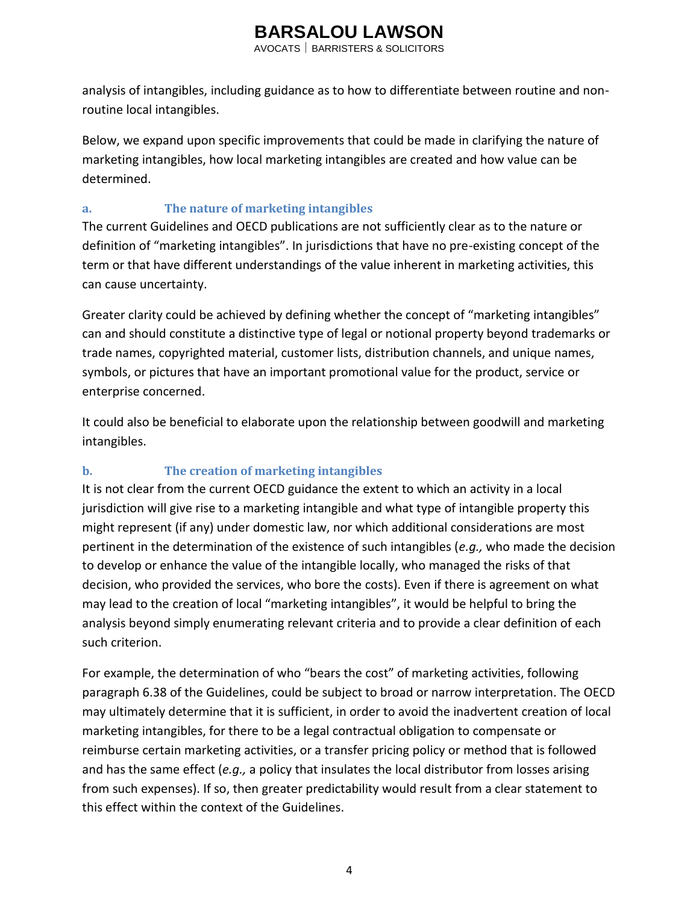AVOCATS BARRISTERS & SOLICITORS

analysis of intangibles, including guidance as to how to differentiate between routine and nonroutine local intangibles.

Below, we expand upon specific improvements that could be made in clarifying the nature of marketing intangibles, how local marketing intangibles are created and how value can be determined.

#### **a. The nature of marketing intangibles**

The current Guidelines and OECD publications are not sufficiently clear as to the nature or definition of "marketing intangibles". In jurisdictions that have no pre-existing concept of the term or that have different understandings of the value inherent in marketing activities, this can cause uncertainty.

Greater clarity could be achieved by defining whether the concept of "marketing intangibles" can and should constitute a distinctive type of legal or notional property beyond trademarks or trade names, copyrighted material, customer lists, distribution channels, and unique names, symbols, or pictures that have an important promotional value for the product, service or enterprise concerned.

It could also be beneficial to elaborate upon the relationship between goodwill and marketing intangibles.

#### **b. The creation of marketing intangibles**

It is not clear from the current OECD guidance the extent to which an activity in a local jurisdiction will give rise to a marketing intangible and what type of intangible property this might represent (if any) under domestic law, nor which additional considerations are most pertinent in the determination of the existence of such intangibles (*e.g.,* who made the decision to develop or enhance the value of the intangible locally, who managed the risks of that decision, who provided the services, who bore the costs). Even if there is agreement on what may lead to the creation of local "marketing intangibles", it would be helpful to bring the analysis beyond simply enumerating relevant criteria and to provide a clear definition of each such criterion.

For example, the determination of who "bears the cost" of marketing activities, following paragraph 6.38 of the Guidelines, could be subject to broad or narrow interpretation. The OECD may ultimately determine that it is sufficient, in order to avoid the inadvertent creation of local marketing intangibles, for there to be a legal contractual obligation to compensate or reimburse certain marketing activities, or a transfer pricing policy or method that is followed and has the same effect (*e.g.,* a policy that insulates the local distributor from losses arising from such expenses). If so, then greater predictability would result from a clear statement to this effect within the context of the Guidelines.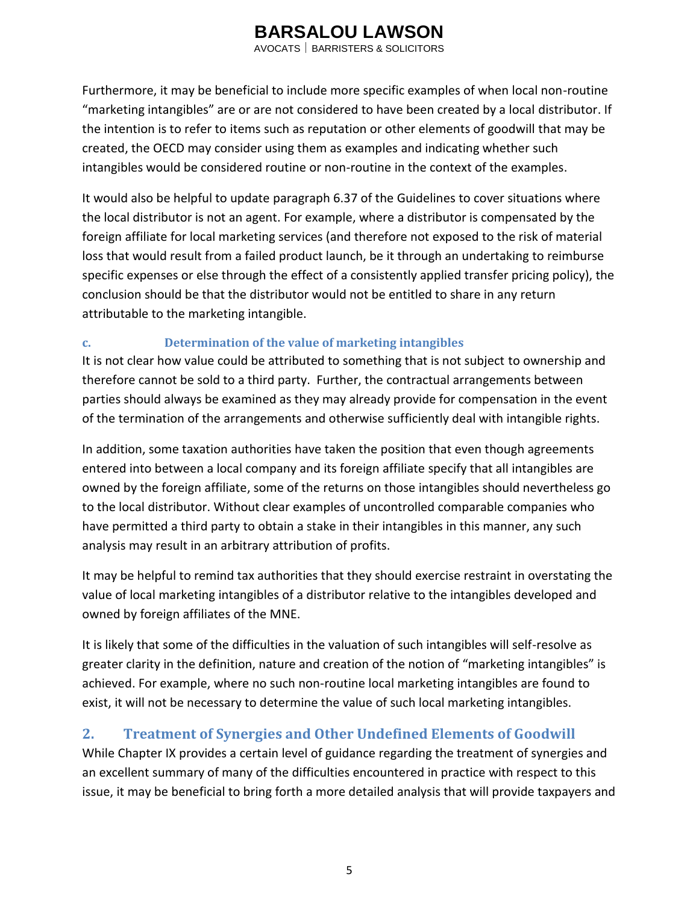AVOCATS BARRISTERS & SOLICITORS

Furthermore, it may be beneficial to include more specific examples of when local non-routine "marketing intangibles" are or are not considered to have been created by a local distributor. If the intention is to refer to items such as reputation or other elements of goodwill that may be created, the OECD may consider using them as examples and indicating whether such intangibles would be considered routine or non-routine in the context of the examples.

It would also be helpful to update paragraph 6.37 of the Guidelines to cover situations where the local distributor is not an agent. For example, where a distributor is compensated by the foreign affiliate for local marketing services (and therefore not exposed to the risk of material loss that would result from a failed product launch, be it through an undertaking to reimburse specific expenses or else through the effect of a consistently applied transfer pricing policy), the conclusion should be that the distributor would not be entitled to share in any return attributable to the marketing intangible.

#### **c. Determination of the value of marketing intangibles**

It is not clear how value could be attributed to something that is not subject to ownership and therefore cannot be sold to a third party. Further, the contractual arrangements between parties should always be examined as they may already provide for compensation in the event of the termination of the arrangements and otherwise sufficiently deal with intangible rights.

In addition, some taxation authorities have taken the position that even though agreements entered into between a local company and its foreign affiliate specify that all intangibles are owned by the foreign affiliate, some of the returns on those intangibles should nevertheless go to the local distributor. Without clear examples of uncontrolled comparable companies who have permitted a third party to obtain a stake in their intangibles in this manner, any such analysis may result in an arbitrary attribution of profits.

It may be helpful to remind tax authorities that they should exercise restraint in overstating the value of local marketing intangibles of a distributor relative to the intangibles developed and owned by foreign affiliates of the MNE.

It is likely that some of the difficulties in the valuation of such intangibles will self-resolve as greater clarity in the definition, nature and creation of the notion of "marketing intangibles" is achieved. For example, where no such non-routine local marketing intangibles are found to exist, it will not be necessary to determine the value of such local marketing intangibles.

### **2. Treatment of Synergies and Other Undefined Elements of Goodwill**

While Chapter IX provides a certain level of guidance regarding the treatment of synergies and an excellent summary of many of the difficulties encountered in practice with respect to this issue, it may be beneficial to bring forth a more detailed analysis that will provide taxpayers and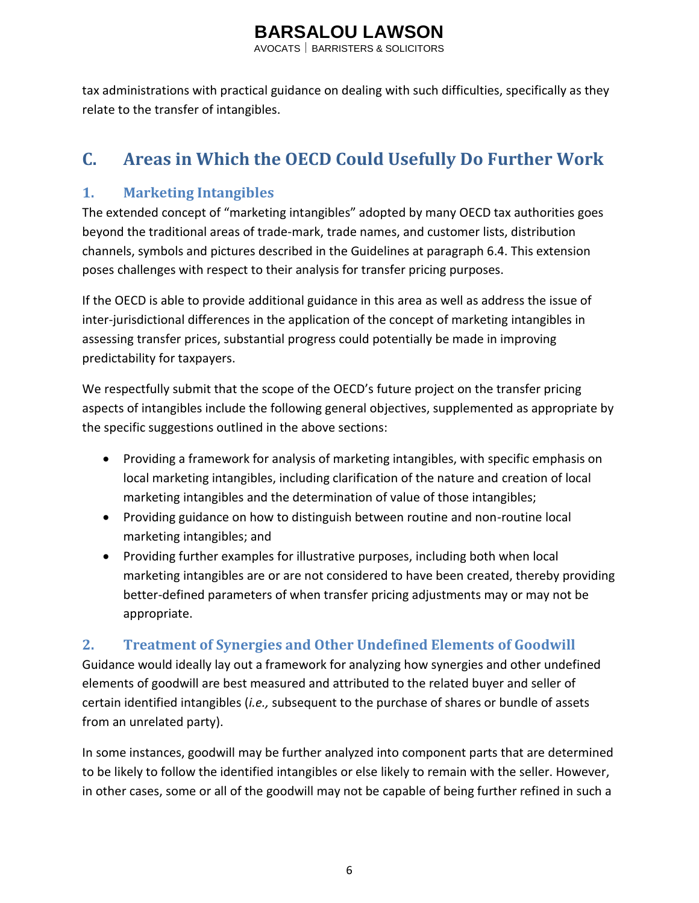AVOCATS BARRISTERS & SOLICITORS

tax administrations with practical guidance on dealing with such difficulties, specifically as they relate to the transfer of intangibles.

## **C. Areas in Which the OECD Could Usefully Do Further Work**

### **1. Marketing Intangibles**

The extended concept of "marketing intangibles" adopted by many OECD tax authorities goes beyond the traditional areas of trade-mark, trade names, and customer lists, distribution channels, symbols and pictures described in the Guidelines at paragraph 6.4. This extension poses challenges with respect to their analysis for transfer pricing purposes.

If the OECD is able to provide additional guidance in this area as well as address the issue of inter-jurisdictional differences in the application of the concept of marketing intangibles in assessing transfer prices, substantial progress could potentially be made in improving predictability for taxpayers.

We respectfully submit that the scope of the OECD's future project on the transfer pricing aspects of intangibles include the following general objectives, supplemented as appropriate by the specific suggestions outlined in the above sections:

- Providing a framework for analysis of marketing intangibles, with specific emphasis on local marketing intangibles, including clarification of the nature and creation of local marketing intangibles and the determination of value of those intangibles;
- Providing guidance on how to distinguish between routine and non-routine local marketing intangibles; and
- Providing further examples for illustrative purposes, including both when local marketing intangibles are or are not considered to have been created, thereby providing better-defined parameters of when transfer pricing adjustments may or may not be appropriate.

### **2. Treatment of Synergies and Other Undefined Elements of Goodwill**

Guidance would ideally lay out a framework for analyzing how synergies and other undefined elements of goodwill are best measured and attributed to the related buyer and seller of certain identified intangibles (*i.e.,* subsequent to the purchase of shares or bundle of assets from an unrelated party).

In some instances, goodwill may be further analyzed into component parts that are determined to be likely to follow the identified intangibles or else likely to remain with the seller. However, in other cases, some or all of the goodwill may not be capable of being further refined in such a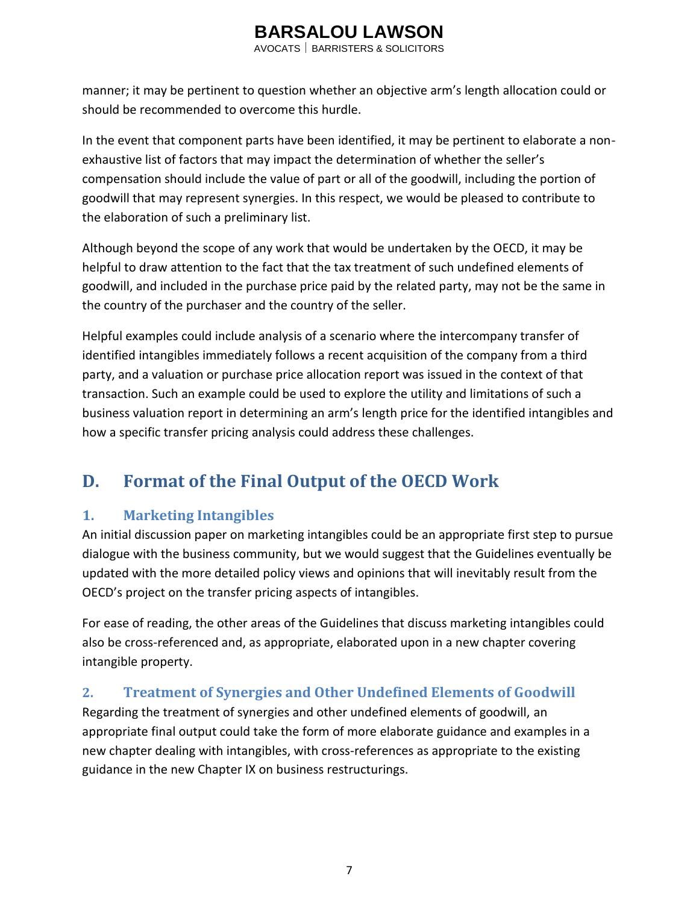AVOCATS BARRISTERS & SOLICITORS

manner; it may be pertinent to question whether an objective arm's length allocation could or should be recommended to overcome this hurdle.

In the event that component parts have been identified, it may be pertinent to elaborate a nonexhaustive list of factors that may impact the determination of whether the seller's compensation should include the value of part or all of the goodwill, including the portion of goodwill that may represent synergies. In this respect, we would be pleased to contribute to the elaboration of such a preliminary list.

Although beyond the scope of any work that would be undertaken by the OECD, it may be helpful to draw attention to the fact that the tax treatment of such undefined elements of goodwill, and included in the purchase price paid by the related party, may not be the same in the country of the purchaser and the country of the seller.

Helpful examples could include analysis of a scenario where the intercompany transfer of identified intangibles immediately follows a recent acquisition of the company from a third party, and a valuation or purchase price allocation report was issued in the context of that transaction. Such an example could be used to explore the utility and limitations of such a business valuation report in determining an arm's length price for the identified intangibles and how a specific transfer pricing analysis could address these challenges.

### **D. Format of the Final Output of the OECD Work**

### **1. Marketing Intangibles**

An initial discussion paper on marketing intangibles could be an appropriate first step to pursue dialogue with the business community, but we would suggest that the Guidelines eventually be updated with the more detailed policy views and opinions that will inevitably result from the OECD's project on the transfer pricing aspects of intangibles.

For ease of reading, the other areas of the Guidelines that discuss marketing intangibles could also be cross-referenced and, as appropriate, elaborated upon in a new chapter covering intangible property.

### **2. Treatment of Synergies and Other Undefined Elements of Goodwill**

Regarding the treatment of synergies and other undefined elements of goodwill, an appropriate final output could take the form of more elaborate guidance and examples in a new chapter dealing with intangibles, with cross-references as appropriate to the existing guidance in the new Chapter IX on business restructurings.